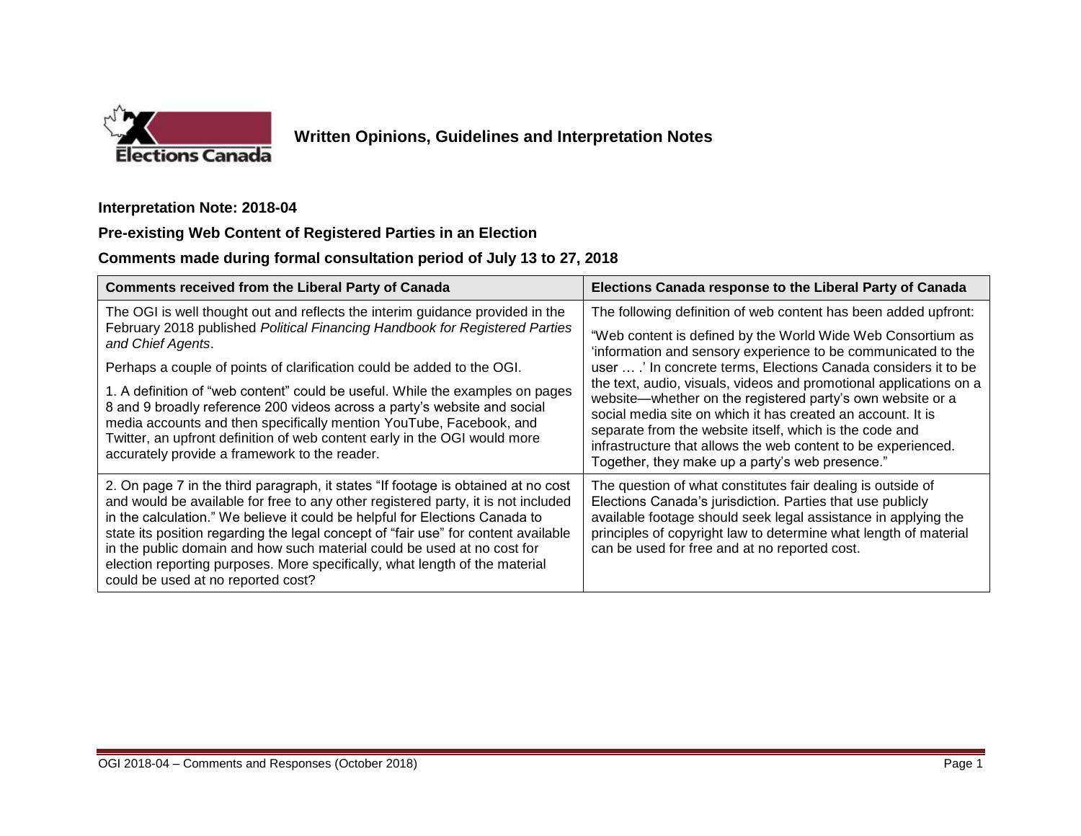

## **Written Opinions, Guidelines and Interpretation Notes**

**Interpretation Note: 2018-04**

## **Pre-existing Web Content of Registered Parties in an Election**

## **Comments made during formal consultation period of July 13 to 27, 2018**

| <b>Comments received from the Liberal Party of Canada</b>                                                                                                                                                                                                                                                                                                                                                                                                                                                                                   | Elections Canada response to the Liberal Party of Canada                                                                                                                                                                                                                                                                                                                       |
|---------------------------------------------------------------------------------------------------------------------------------------------------------------------------------------------------------------------------------------------------------------------------------------------------------------------------------------------------------------------------------------------------------------------------------------------------------------------------------------------------------------------------------------------|--------------------------------------------------------------------------------------------------------------------------------------------------------------------------------------------------------------------------------------------------------------------------------------------------------------------------------------------------------------------------------|
| The OGI is well thought out and reflects the interim guidance provided in the                                                                                                                                                                                                                                                                                                                                                                                                                                                               | The following definition of web content has been added upfront:                                                                                                                                                                                                                                                                                                                |
| February 2018 published Political Financing Handbook for Registered Parties<br>and Chief Agents.                                                                                                                                                                                                                                                                                                                                                                                                                                            | "Web content is defined by the World Wide Web Consortium as<br>'information and sensory experience to be communicated to the                                                                                                                                                                                                                                                   |
| Perhaps a couple of points of clarification could be added to the OGI.                                                                                                                                                                                                                                                                                                                                                                                                                                                                      | user  .' In concrete terms, Elections Canada considers it to be                                                                                                                                                                                                                                                                                                                |
| 1. A definition of "web content" could be useful. While the examples on pages<br>8 and 9 broadly reference 200 videos across a party's website and social<br>media accounts and then specifically mention YouTube, Facebook, and<br>Twitter, an upfront definition of web content early in the OGI would more<br>accurately provide a framework to the reader.                                                                                                                                                                              | the text, audio, visuals, videos and promotional applications on a<br>website—whether on the registered party's own website or a<br>social media site on which it has created an account. It is<br>separate from the website itself, which is the code and<br>infrastructure that allows the web content to be experienced.<br>Together, they make up a party's web presence." |
| 2. On page 7 in the third paragraph, it states "If footage is obtained at no cost<br>and would be available for free to any other registered party, it is not included<br>in the calculation." We believe it could be helpful for Elections Canada to<br>state its position regarding the legal concept of "fair use" for content available<br>in the public domain and how such material could be used at no cost for<br>election reporting purposes. More specifically, what length of the material<br>could be used at no reported cost? | The question of what constitutes fair dealing is outside of<br>Elections Canada's jurisdiction. Parties that use publicly<br>available footage should seek legal assistance in applying the<br>principles of copyright law to determine what length of material<br>can be used for free and at no reported cost.                                                               |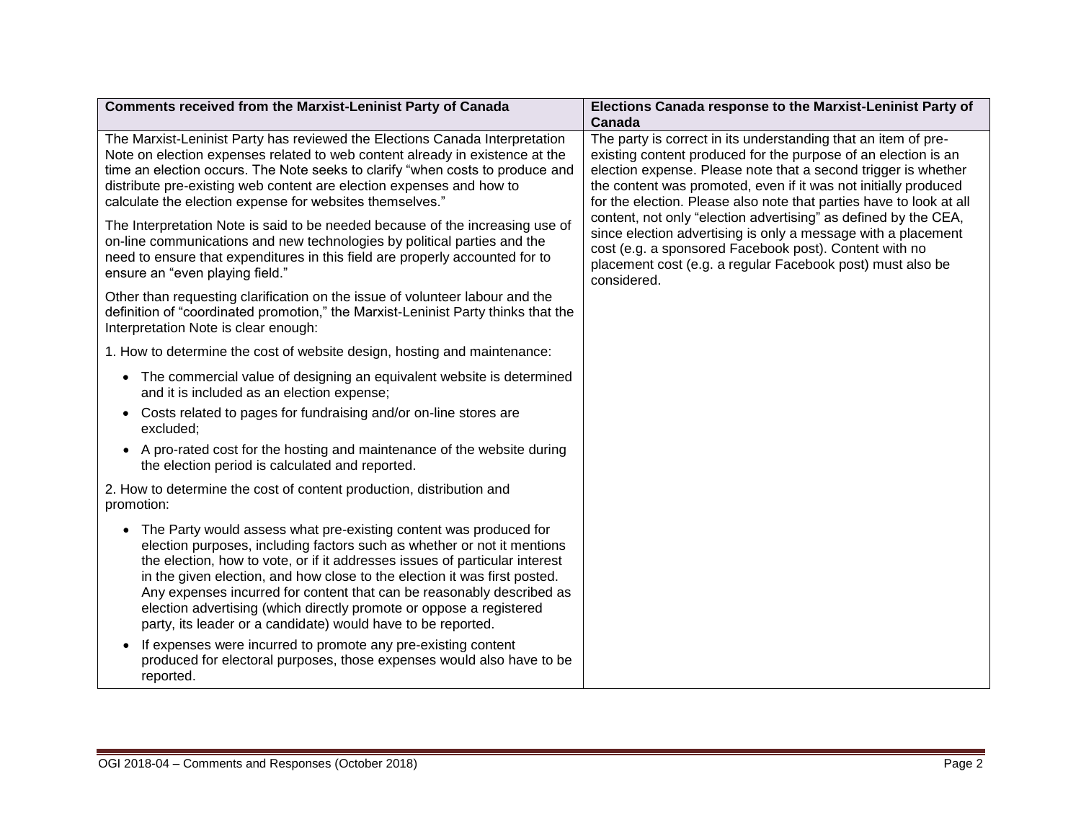| <b>Comments received from the Marxist-Leninist Party of Canada</b>                                                                                                                                                                                                                                                                                                                                                                                                                                                                                                                                                                                               | Elections Canada response to the Marxist-Leninist Party of<br>Canada                                                                                                                                                                                                                                                                                                                                                                                                                                                                                                                                                    |
|------------------------------------------------------------------------------------------------------------------------------------------------------------------------------------------------------------------------------------------------------------------------------------------------------------------------------------------------------------------------------------------------------------------------------------------------------------------------------------------------------------------------------------------------------------------------------------------------------------------------------------------------------------------|-------------------------------------------------------------------------------------------------------------------------------------------------------------------------------------------------------------------------------------------------------------------------------------------------------------------------------------------------------------------------------------------------------------------------------------------------------------------------------------------------------------------------------------------------------------------------------------------------------------------------|
| The Marxist-Leninist Party has reviewed the Elections Canada Interpretation<br>Note on election expenses related to web content already in existence at the<br>time an election occurs. The Note seeks to clarify "when costs to produce and<br>distribute pre-existing web content are election expenses and how to<br>calculate the election expense for websites themselves."<br>The Interpretation Note is said to be needed because of the increasing use of<br>on-line communications and new technologies by political parties and the<br>need to ensure that expenditures in this field are properly accounted for to<br>ensure an "even playing field." | The party is correct in its understanding that an item of pre-<br>existing content produced for the purpose of an election is an<br>election expense. Please note that a second trigger is whether<br>the content was promoted, even if it was not initially produced<br>for the election. Please also note that parties have to look at all<br>content, not only "election advertising" as defined by the CEA,<br>since election advertising is only a message with a placement<br>cost (e.g. a sponsored Facebook post). Content with no<br>placement cost (e.g. a regular Facebook post) must also be<br>considered. |
| Other than requesting clarification on the issue of volunteer labour and the<br>definition of "coordinated promotion," the Marxist-Leninist Party thinks that the<br>Interpretation Note is clear enough:                                                                                                                                                                                                                                                                                                                                                                                                                                                        |                                                                                                                                                                                                                                                                                                                                                                                                                                                                                                                                                                                                                         |
| 1. How to determine the cost of website design, hosting and maintenance:                                                                                                                                                                                                                                                                                                                                                                                                                                                                                                                                                                                         |                                                                                                                                                                                                                                                                                                                                                                                                                                                                                                                                                                                                                         |
| • The commercial value of designing an equivalent website is determined<br>and it is included as an election expense;                                                                                                                                                                                                                                                                                                                                                                                                                                                                                                                                            |                                                                                                                                                                                                                                                                                                                                                                                                                                                                                                                                                                                                                         |
| Costs related to pages for fundraising and/or on-line stores are<br>excluded;                                                                                                                                                                                                                                                                                                                                                                                                                                                                                                                                                                                    |                                                                                                                                                                                                                                                                                                                                                                                                                                                                                                                                                                                                                         |
| • A pro-rated cost for the hosting and maintenance of the website during<br>the election period is calculated and reported.                                                                                                                                                                                                                                                                                                                                                                                                                                                                                                                                      |                                                                                                                                                                                                                                                                                                                                                                                                                                                                                                                                                                                                                         |
| 2. How to determine the cost of content production, distribution and<br>promotion:                                                                                                                                                                                                                                                                                                                                                                                                                                                                                                                                                                               |                                                                                                                                                                                                                                                                                                                                                                                                                                                                                                                                                                                                                         |
| The Party would assess what pre-existing content was produced for<br>$\bullet$<br>election purposes, including factors such as whether or not it mentions<br>the election, how to vote, or if it addresses issues of particular interest<br>in the given election, and how close to the election it was first posted.<br>Any expenses incurred for content that can be reasonably described as<br>election advertising (which directly promote or oppose a registered<br>party, its leader or a candidate) would have to be reported.                                                                                                                            |                                                                                                                                                                                                                                                                                                                                                                                                                                                                                                                                                                                                                         |
| If expenses were incurred to promote any pre-existing content<br>produced for electoral purposes, those expenses would also have to be<br>reported.                                                                                                                                                                                                                                                                                                                                                                                                                                                                                                              |                                                                                                                                                                                                                                                                                                                                                                                                                                                                                                                                                                                                                         |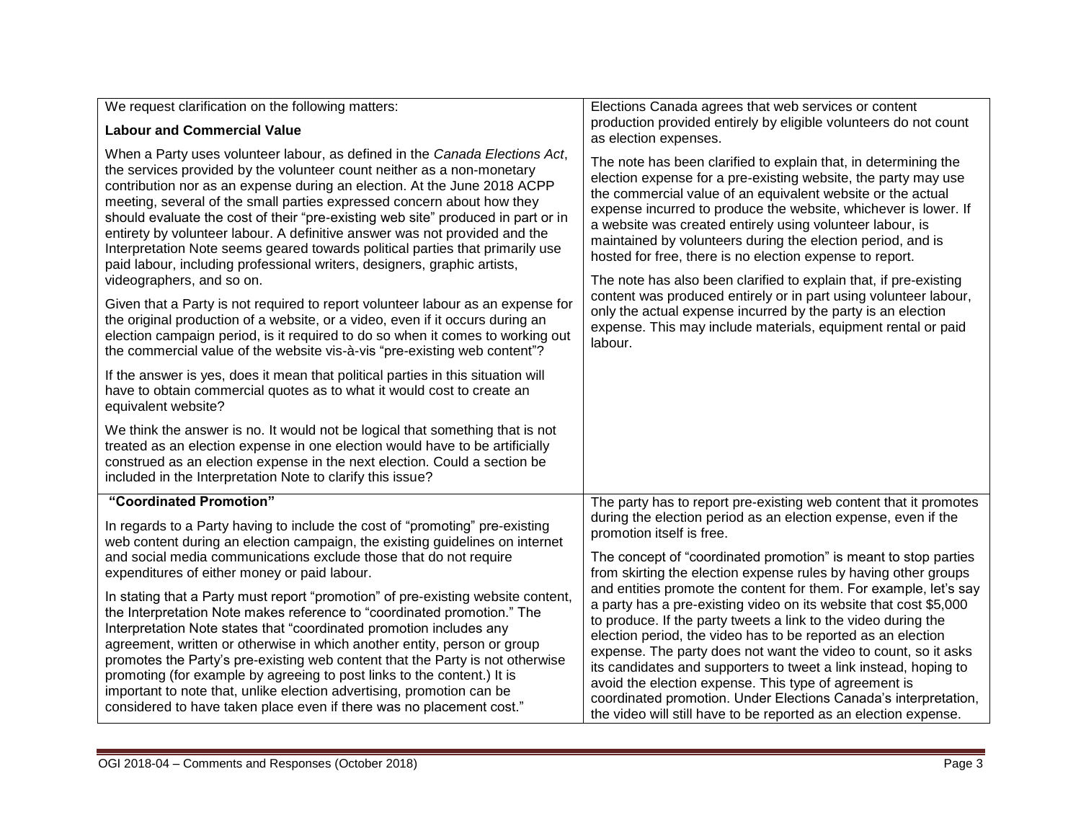| We request clarification on the following matters:                                                                                                                                                                                                                                                                                                                                                                                                                                                                                                                                                                                                                      | Elections Canada agrees that web services or content                                                                                                                                                                                                                                                                                                                                                                                                                                                                                                                                                            |
|-------------------------------------------------------------------------------------------------------------------------------------------------------------------------------------------------------------------------------------------------------------------------------------------------------------------------------------------------------------------------------------------------------------------------------------------------------------------------------------------------------------------------------------------------------------------------------------------------------------------------------------------------------------------------|-----------------------------------------------------------------------------------------------------------------------------------------------------------------------------------------------------------------------------------------------------------------------------------------------------------------------------------------------------------------------------------------------------------------------------------------------------------------------------------------------------------------------------------------------------------------------------------------------------------------|
| <b>Labour and Commercial Value</b>                                                                                                                                                                                                                                                                                                                                                                                                                                                                                                                                                                                                                                      | production provided entirely by eligible volunteers do not count<br>as election expenses.                                                                                                                                                                                                                                                                                                                                                                                                                                                                                                                       |
| When a Party uses volunteer labour, as defined in the Canada Elections Act,<br>the services provided by the volunteer count neither as a non-monetary<br>contribution nor as an expense during an election. At the June 2018 ACPP<br>meeting, several of the small parties expressed concern about how they<br>should evaluate the cost of their "pre-existing web site" produced in part or in<br>entirety by volunteer labour. A definitive answer was not provided and the<br>Interpretation Note seems geared towards political parties that primarily use<br>paid labour, including professional writers, designers, graphic artists,<br>videographers, and so on. | The note has been clarified to explain that, in determining the<br>election expense for a pre-existing website, the party may use<br>the commercial value of an equivalent website or the actual<br>expense incurred to produce the website, whichever is lower. If<br>a website was created entirely using volunteer labour, is<br>maintained by volunteers during the election period, and is<br>hosted for free, there is no election expense to report.<br>The note has also been clarified to explain that, if pre-existing                                                                                |
| Given that a Party is not required to report volunteer labour as an expense for<br>the original production of a website, or a video, even if it occurs during an<br>election campaign period, is it required to do so when it comes to working out<br>the commercial value of the website vis-à-vis "pre-existing web content"?                                                                                                                                                                                                                                                                                                                                         | content was produced entirely or in part using volunteer labour,<br>only the actual expense incurred by the party is an election<br>expense. This may include materials, equipment rental or paid<br>labour.                                                                                                                                                                                                                                                                                                                                                                                                    |
| If the answer is yes, does it mean that political parties in this situation will<br>have to obtain commercial quotes as to what it would cost to create an<br>equivalent website?                                                                                                                                                                                                                                                                                                                                                                                                                                                                                       |                                                                                                                                                                                                                                                                                                                                                                                                                                                                                                                                                                                                                 |
| We think the answer is no. It would not be logical that something that is not<br>treated as an election expense in one election would have to be artificially<br>construed as an election expense in the next election. Could a section be<br>included in the Interpretation Note to clarify this issue?                                                                                                                                                                                                                                                                                                                                                                |                                                                                                                                                                                                                                                                                                                                                                                                                                                                                                                                                                                                                 |
| "Coordinated Promotion"                                                                                                                                                                                                                                                                                                                                                                                                                                                                                                                                                                                                                                                 | The party has to report pre-existing web content that it promotes                                                                                                                                                                                                                                                                                                                                                                                                                                                                                                                                               |
| In regards to a Party having to include the cost of "promoting" pre-existing<br>web content during an election campaign, the existing guidelines on internet                                                                                                                                                                                                                                                                                                                                                                                                                                                                                                            | during the election period as an election expense, even if the<br>promotion itself is free.                                                                                                                                                                                                                                                                                                                                                                                                                                                                                                                     |
| and social media communications exclude those that do not require<br>expenditures of either money or paid labour.                                                                                                                                                                                                                                                                                                                                                                                                                                                                                                                                                       | The concept of "coordinated promotion" is meant to stop parties<br>from skirting the election expense rules by having other groups                                                                                                                                                                                                                                                                                                                                                                                                                                                                              |
| In stating that a Party must report "promotion" of pre-existing website content,<br>the Interpretation Note makes reference to "coordinated promotion." The<br>Interpretation Note states that "coordinated promotion includes any<br>agreement, written or otherwise in which another entity, person or group<br>promotes the Party's pre-existing web content that the Party is not otherwise<br>promoting (for example by agreeing to post links to the content.) It is<br>important to note that, unlike election advertising, promotion can be<br>considered to have taken place even if there was no placement cost."                                             | and entities promote the content for them. For example, let's say<br>a party has a pre-existing video on its website that cost \$5,000<br>to produce. If the party tweets a link to the video during the<br>election period, the video has to be reported as an election<br>expense. The party does not want the video to count, so it asks<br>its candidates and supporters to tweet a link instead, hoping to<br>avoid the election expense. This type of agreement is<br>coordinated promotion. Under Elections Canada's interpretation,<br>the video will still have to be reported as an election expense. |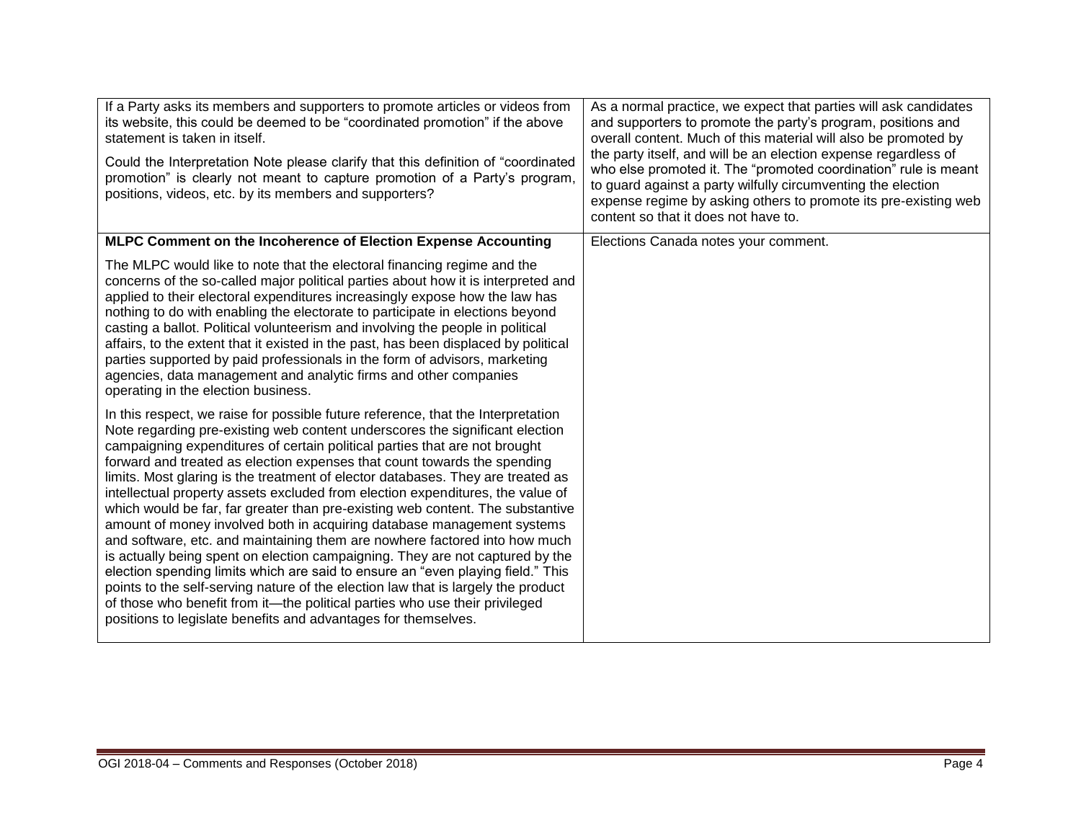| If a Party asks its members and supporters to promote articles or videos from<br>its website, this could be deemed to be "coordinated promotion" if the above<br>statement is taken in itself.<br>Could the Interpretation Note please clarify that this definition of "coordinated<br>promotion" is clearly not meant to capture promotion of a Party's program,<br>positions, videos, etc. by its members and supporters?                                                                                                                                                                                                                                                                                                                                                                                                                                                                                                                                                                                                                                                                                                                         | As a normal practice, we expect that parties will ask candidates<br>and supporters to promote the party's program, positions and<br>overall content. Much of this material will also be promoted by<br>the party itself, and will be an election expense regardless of<br>who else promoted it. The "promoted coordination" rule is meant<br>to guard against a party wilfully circumventing the election<br>expense regime by asking others to promote its pre-existing web<br>content so that it does not have to. |
|-----------------------------------------------------------------------------------------------------------------------------------------------------------------------------------------------------------------------------------------------------------------------------------------------------------------------------------------------------------------------------------------------------------------------------------------------------------------------------------------------------------------------------------------------------------------------------------------------------------------------------------------------------------------------------------------------------------------------------------------------------------------------------------------------------------------------------------------------------------------------------------------------------------------------------------------------------------------------------------------------------------------------------------------------------------------------------------------------------------------------------------------------------|----------------------------------------------------------------------------------------------------------------------------------------------------------------------------------------------------------------------------------------------------------------------------------------------------------------------------------------------------------------------------------------------------------------------------------------------------------------------------------------------------------------------|
| MLPC Comment on the Incoherence of Election Expense Accounting                                                                                                                                                                                                                                                                                                                                                                                                                                                                                                                                                                                                                                                                                                                                                                                                                                                                                                                                                                                                                                                                                      | Elections Canada notes your comment.                                                                                                                                                                                                                                                                                                                                                                                                                                                                                 |
| The MLPC would like to note that the electoral financing regime and the<br>concerns of the so-called major political parties about how it is interpreted and<br>applied to their electoral expenditures increasingly expose how the law has<br>nothing to do with enabling the electorate to participate in elections beyond<br>casting a ballot. Political volunteerism and involving the people in political<br>affairs, to the extent that it existed in the past, has been displaced by political<br>parties supported by paid professionals in the form of advisors, marketing<br>agencies, data management and analytic firms and other companies<br>operating in the election business.                                                                                                                                                                                                                                                                                                                                                                                                                                                      |                                                                                                                                                                                                                                                                                                                                                                                                                                                                                                                      |
| In this respect, we raise for possible future reference, that the Interpretation<br>Note regarding pre-existing web content underscores the significant election<br>campaigning expenditures of certain political parties that are not brought<br>forward and treated as election expenses that count towards the spending<br>limits. Most glaring is the treatment of elector databases. They are treated as<br>intellectual property assets excluded from election expenditures, the value of<br>which would be far, far greater than pre-existing web content. The substantive<br>amount of money involved both in acquiring database management systems<br>and software, etc. and maintaining them are nowhere factored into how much<br>is actually being spent on election campaigning. They are not captured by the<br>election spending limits which are said to ensure an "even playing field." This<br>points to the self-serving nature of the election law that is largely the product<br>of those who benefit from it—the political parties who use their privileged<br>positions to legislate benefits and advantages for themselves. |                                                                                                                                                                                                                                                                                                                                                                                                                                                                                                                      |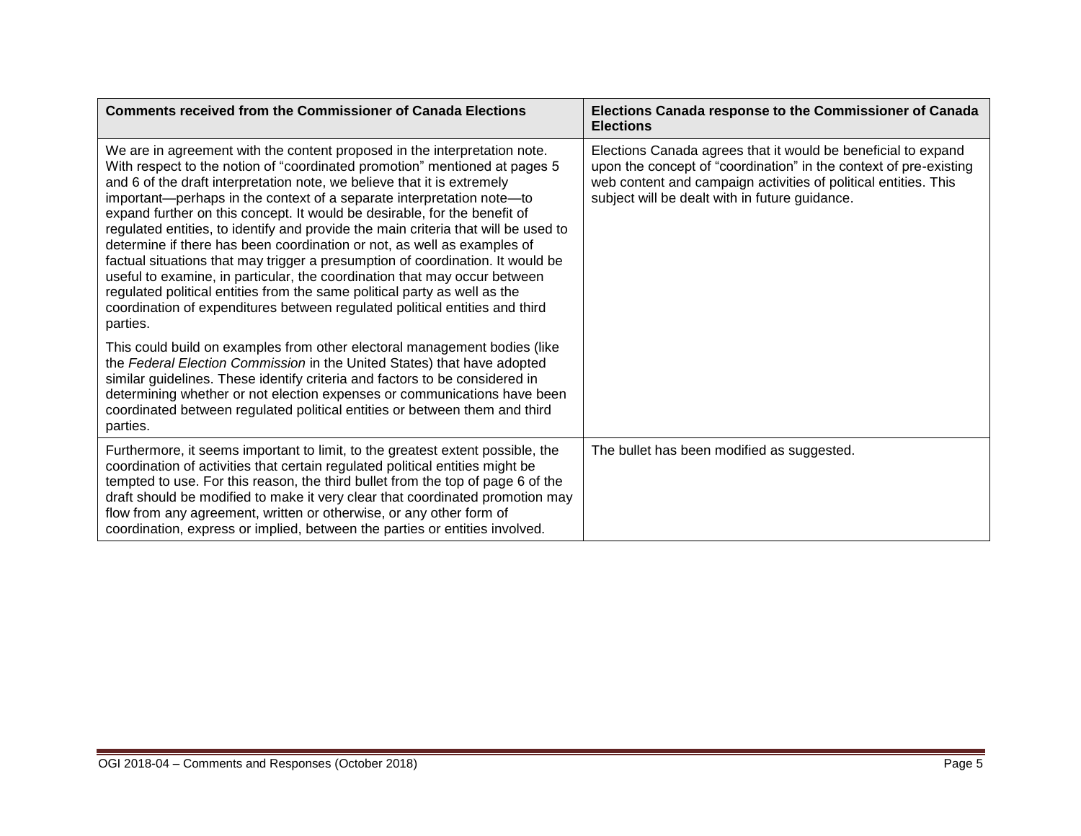| <b>Comments received from the Commissioner of Canada Elections</b>                                                                                                                                                                                                                                                                                                                                                                                                                                                                                                                                                                                                                                                                                                                                                                                                                               | Elections Canada response to the Commissioner of Canada<br><b>Elections</b>                                                                                                                                                                             |
|--------------------------------------------------------------------------------------------------------------------------------------------------------------------------------------------------------------------------------------------------------------------------------------------------------------------------------------------------------------------------------------------------------------------------------------------------------------------------------------------------------------------------------------------------------------------------------------------------------------------------------------------------------------------------------------------------------------------------------------------------------------------------------------------------------------------------------------------------------------------------------------------------|---------------------------------------------------------------------------------------------------------------------------------------------------------------------------------------------------------------------------------------------------------|
| We are in agreement with the content proposed in the interpretation note.<br>With respect to the notion of "coordinated promotion" mentioned at pages 5<br>and 6 of the draft interpretation note, we believe that it is extremely<br>important-perhaps in the context of a separate interpretation note-to<br>expand further on this concept. It would be desirable, for the benefit of<br>regulated entities, to identify and provide the main criteria that will be used to<br>determine if there has been coordination or not, as well as examples of<br>factual situations that may trigger a presumption of coordination. It would be<br>useful to examine, in particular, the coordination that may occur between<br>regulated political entities from the same political party as well as the<br>coordination of expenditures between regulated political entities and third<br>parties. | Elections Canada agrees that it would be beneficial to expand<br>upon the concept of "coordination" in the context of pre-existing<br>web content and campaign activities of political entities. This<br>subject will be dealt with in future guidance. |
| This could build on examples from other electoral management bodies (like<br>the Federal Election Commission in the United States) that have adopted<br>similar guidelines. These identify criteria and factors to be considered in<br>determining whether or not election expenses or communications have been<br>coordinated between regulated political entities or between them and third<br>parties.                                                                                                                                                                                                                                                                                                                                                                                                                                                                                        |                                                                                                                                                                                                                                                         |
| Furthermore, it seems important to limit, to the greatest extent possible, the<br>coordination of activities that certain regulated political entities might be<br>tempted to use. For this reason, the third bullet from the top of page 6 of the<br>draft should be modified to make it very clear that coordinated promotion may<br>flow from any agreement, written or otherwise, or any other form of<br>coordination, express or implied, between the parties or entities involved.                                                                                                                                                                                                                                                                                                                                                                                                        | The bullet has been modified as suggested.                                                                                                                                                                                                              |